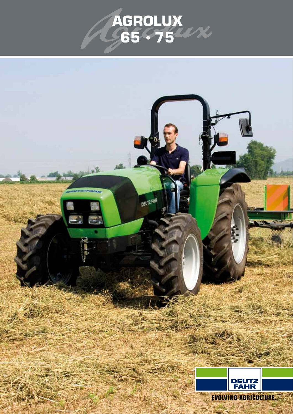